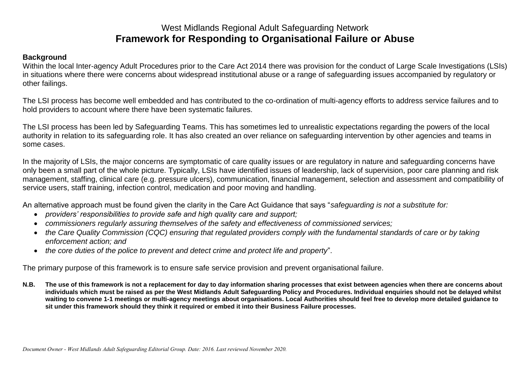# West Midlands Regional Adult Safeguarding Network **Framework for Responding to Organisational Failure or Abuse**

# **Background**

Within the local Inter-agency Adult Procedures prior to the Care Act 2014 there was provision for the conduct of Large Scale Investigations (LSIs) in situations where there were concerns about widespread institutional abuse or a range of safeguarding issues accompanied by regulatory or other failings.

The LSI process has become well embedded and has contributed to the co-ordination of multi-agency efforts to address service failures and to hold providers to account where there have been systematic failures.

The LSI process has been led by Safeguarding Teams. This has sometimes led to unrealistic expectations regarding the powers of the local authority in relation to its safeguarding role. It has also created an over reliance on safeguarding intervention by other agencies and teams in some cases.

In the majority of LSIs, the major concerns are symptomatic of care quality issues or are regulatory in nature and safeguarding concerns have only been a small part of the whole picture. Typically, LSIs have identified issues of leadership, lack of supervision, poor care planning and risk management, staffing, clinical care (e.g. pressure ulcers), communication, financial management, selection and assessment and compatibility of service users, staff training, infection control, medication and poor moving and handling.

An alternative approach must be found given the clarity in the Care Act Guidance that says "*safeguarding is not a substitute for:* 

- *providers' responsibilities to provide safe and high quality care and support;*
- *commissioners regularly assuring themselves of the safety and effectiveness of commissioned services;*
- *the Care Quality Commission (CQC) ensuring that regulated providers comply with the fundamental standards of care or by taking enforcement action; and*
- *the core duties of the police to prevent and detect crime and protect life and property*".

The primary purpose of this framework is to ensure safe service provision and prevent organisational failure.

**N.B. The use of this framework is not a replacement for day to day information sharing processes that exist between agencies when there are concerns about individuals which must be raised as per the West Midlands Adult Safeguarding Policy and Procedures. Individual enquiries should not be delayed whilst waiting to convene 1-1 meetings or multi-agency meetings about organisations. Local Authorities should feel free to develop more detailed guidance to sit under this framework should they think it required or embed it into their Business Failure processes.**